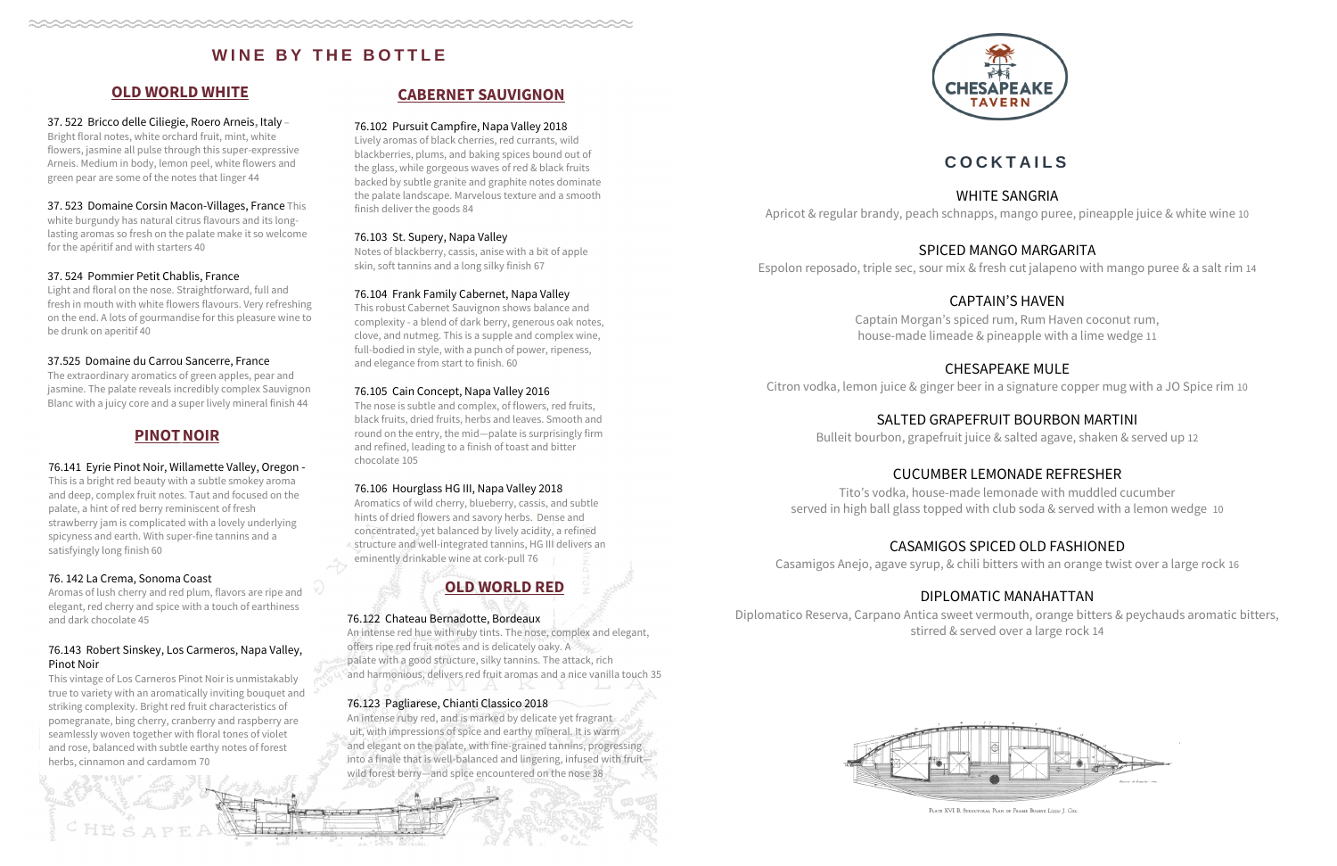## **CABERNET SAUVIGNON**

#### 76.102 Pursuit Campfire, Napa Valley 2018

Lively aromas of black cherries, red currants, wild blackberries, plums, and baking spices bound out of the glass, while gorgeous waves of red & black fruits backed by subtle granite and graphite notes dominate the palate landscape. Marvelous texture and a smooth finish deliver the goods 84

#### 76.103 St. Supery, Napa Valley

Notes of blackberry, cassis, anise with a bit of apple skin, soft tannins and a long silky finish 67

#### 76.104 Frank Family Cabernet, Napa Valley

This robust Cabernet Sauvignon shows balance and complexity - a blend of dark berry, generous oak notes, clove, and nutmeg. This is a supple and complex wine, full-bodied in style, with a punch of power, ripeness, and elegance from start to finish. 60

#### 76.105 Cain Concept, Napa Valley 2016

The nose is subtle and complex, of flowers, red fruits, black fruits, dried fruits, herbs and leaves. Smooth and round on the entry, the mid—palate is surprisingly firm and refined, leading to a finish of toast and bitter chocolate 105

#### 76.106 Hourglass HG III, Napa Valley 2018

Aromatics of wild cherry, blueberry, cassis, and subtle hints of dried flowers and savory herbs. Dense and concentrated, yet balanced by lively acidity, a refined structure and well-integrated tannins, HG III delivers an eminently drinkable wine at cork-pull 76

# **OLD WORLD RED**

#### 76.122 Chateau Bernadotte, Bordeaux

An intense red hue with ruby tints. The nose, complex and elegant, offers ripe red fruit notes and is delicately oaky. A palate with a good structure, silky tannins. The attack, rich and harmonious, delivers red fruit aromas and a nice vanilla touch 35

#### 76.123 Pagliarese, Chianti Classico 2018

An intense ruby red, and is marked by delicate yet fragrant uit, with impressions of spice and earthy mineral. It is warm and elegant on the palate, with fine-grained tannins, progressing into a finale that is well-balanced and lingering, infused with fruit wild forest berry—and spice encountered on the nose 38



# **WINE BY THE BOTTLE**

## **OLD WORLD WHITE**

#### 37. 522 Bricco delle Ciliegie, Roero Arneis**,** Italy –

Bright floral notes, white orchard fruit, mint, white flowers, jasmine all pulse through this super-expressive Arneis. Medium in body, lemon peel, white flowers and green pear are some of the notes that linger 44

#### 37. 523 Domaine Corsin Macon-Villages, France This

white burgundy has natural citrus flavours and its longlasting aromas so fresh on the palate make it so welcome for the apéritif and with starters 40

#### 37. 524 Pommier Petit Chablis, France

Light and floral on the nose. Straightforward, full and fresh in mouth with white flowers flavours. Very refreshing on the end. A lots of gourmandise for this pleasure wine to be drunk on aperitif 40

#### 37.525 Domaine du Carrou Sancerre, France

The extraordinary aromatics of green apples, pear and jasmine. The palate reveals incredibly complex Sauvignon Blanc with a juicy core and a super lively mineral finish 44

### **PINOTNOIR**

#### 76.141 Eyrie Pinot Noir, Willamette Valley, Oregon -

This is a bright red beauty with a subtle smokey aroma and deep, complex fruit notes. Taut and focused on the palate, a hint of red berry reminiscent of fresh strawberry jam is complicated with a lovely underlying spicyness and earth. With super-fine tannins and a satisfyingly long finish 60

#### 76. 142 La Crema, Sonoma Coast

Aromas of lush cherry and red plum, flavors are ripe and elegant, red cherry and spice with a touch of earthiness and dark chocolate 45

#### 76.143 Robert Sinskey, Los Carmeros, Napa Valley, Pinot Noir

This vintage of Los Carneros Pinot Noir is unmistakably true to variety with an aromatically inviting bouquet and striking complexity. Bright red fruit characteristics of pomegranate, bing cherry, cranberry and raspberry are seamlessly woven together with floral tones of violet and rose, balanced with subtle earthy notes of forest herbs, cinnamon and cardamom 70

# **C O C K T A I L S**

WHITE SANGRIA Apricot & regular brandy, peach schnapps, mango puree, pineapple juice & white wine 10

# SPICED MANGO MARGARITA

Espolon reposado, triple sec, sour mix & fresh cut jalapeno with mango puree & a salt rim 14

# CAPTAIN'S HAVEN

Captain Morgan's spiced rum, Rum Haven coconut rum, house-made limeade & pineapple with a lime wedge 11

CHESAPEAKE MULE Citron vodka, lemon juice & ginger beer in a signature copper mug with a JO Spice rim 10

> SALTED GRAPEFRUIT BOURBON MARTINI Bulleit bourbon, grapefruit juice & salted agave, shaken & served up 12

# CUCUMBER LEMONADE REFRESHER

Tito's vodka, house-made lemonade with muddled cucumber served in high ball glass topped with club soda & served with a lemon wedge 10

# CASAMIGOS SPICED OLD FASHIONED

Casamigos Anejo, agave syrup, & chili bitters with an orange twist over a large rock 16

# DIPLOMATIC MANAHATTAN

Diplomatico Reserva, Carpano Antica sweet vermouth, orange bitters & peychauds aromatic bitters, stirred & served over a large rock 14



PLATE XVI B. STRUCTURAL PLAN OF FRAME BUGEYE Lizzie J. Co: